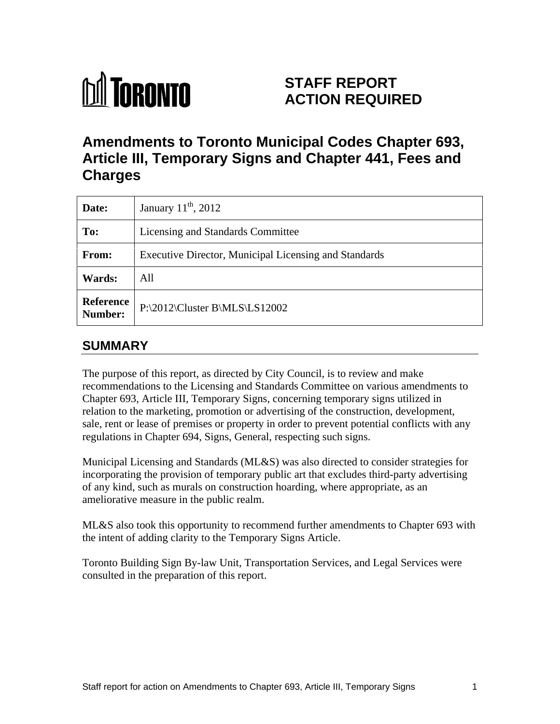

# **STAFF REPORT ACTION REQUIRED**

# **Amendments to Toronto Municipal Codes Chapter 693, Article III, Temporary Signs and Chapter 441, Fees and Charges**

| Date:         | January $11^{\text{th}}$ , 2012                              |
|---------------|--------------------------------------------------------------|
| To:           | Licensing and Standards Committee                            |
| From:         | <b>Executive Director, Municipal Licensing and Standards</b> |
| <b>Wards:</b> | All                                                          |
| Number:       | Reference   P:\2012\Cluster B\MLS\LS12002                    |

# **SUMMARY**

The purpose of this report, as directed by City Council, is to review and make recommendations to the Licensing and Standards Committee on various amendments to Chapter 693, Article III, Temporary Signs, concerning temporary signs utilized in relation to the marketing, promotion or advertising of the construction, development, sale, rent or lease of premises or property in order to prevent potential conflicts with any regulations in Chapter 694, Signs, General, respecting such signs.

Municipal Licensing and Standards (ML&S) was also directed to consider strategies for incorporating the provision of temporary public art that excludes third-party advertising of any kind, such as murals on construction hoarding, where appropriate, as an

ameliorative measure in the public realm. ML&S also took this opportunity to recommend further amendments to Chapter 693 with the intent of adding clarity to the Temporary Signs Article.

Toronto Building Sign By-law Unit, Transportation Services, and Legal Services were consulted in the preparation of this report.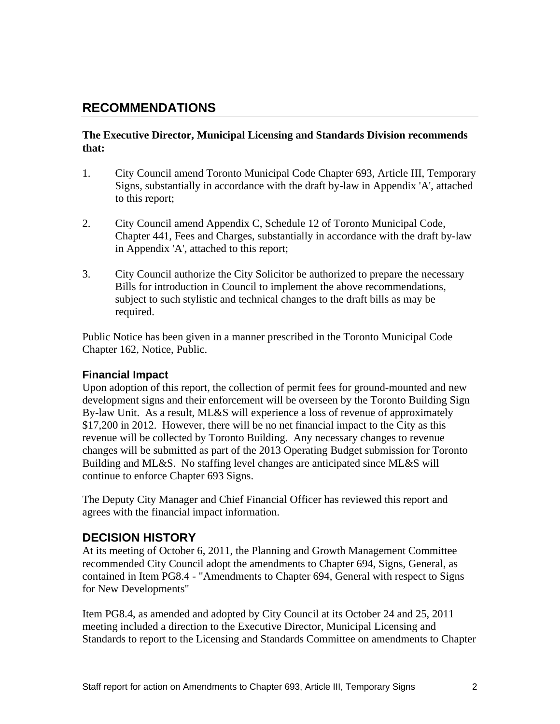# **RECOMMENDATIONS**

# **The Executive Director, Municipal Licensing and Standards Division recommends that:**

- 1. City Council amend Toronto Municipal Code Chapter 693, Article III, Temporary Signs, substantially in accordance with the draft by-law in Appendix 'A', attached to this report;
- 2. City Council amend Appendix C, Schedule 12 of Toronto Municipal Code, Chapter 441, Fees and Charges, substantially in accordance with the draft by-law in Appendix 'A', attached to this report;
- 3. City Council authorize the City Solicitor be authorized to prepare the necessary Bills for introduction in Council to implement the above recommendations, subject to such stylistic and technical changes to the draft bills as may be required. The contract of the contract of the contract of the contract of the contract of the contract of the contract of the contract of the contract of the contract of the contract of the contract of the contract of the

Public Notice has been given in a manner prescribed in the Toronto Municipal Code Chapter 162, Notice, Public.

# **Financial Impact**

Upon adoption of this report, the collection of permit fees for ground-mounted and new development signs and their enforcement will be overseen by the Toronto Building Sign By-law Unit. As a result, ML&S will experience a loss of revenue of approximately \$17,200 in 2012. However, there will be no net financial impact to the City as this revenue will be collected by Toronto Building. Any necessary changes to revenue changes will be submitted as part of the 2013 Operating Budget submission for Toronto Building and ML&S. No staffing level changes are anticipated since ML&S will continue to enforce Chapter 693 Signs.

The Deputy City Manager and Chief Financial Officer has reviewed this report and agrees with the financial impact information.

# **DECISION HISTORY**

At its meeting of October 6, 2011, the Planning and Growth Management Committee recommended City Council adopt the amendments to Chapter 694, Signs, General, as contained in Item PG8.4 - "Amendments to Chapter 694, General with respect to Signs for New Developments"

Item PG8.4, as amended and adopted by City Council at its October 24 and 25, 2011 meeting included a direction to the Executive Director, Municipal Licensing and Standards to report to the Licensing and Standards Committee on amendments to Chapter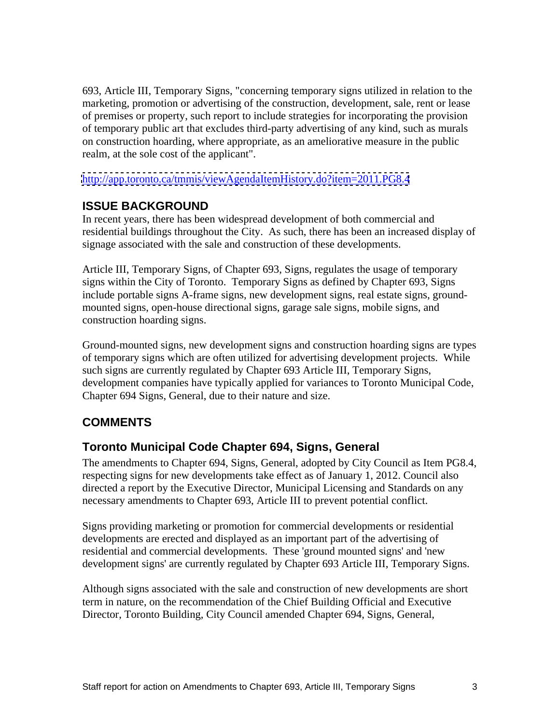693, Article III, Temporary Signs, "concerning temporary signs utilized in relation to the marketing, promotion or advertising of the construction, development, sale, rent or lease of premises or property, such report to include strategies for incorporating the provision of temporary public art that excludes third-party advertising of any kind, such as murals on construction hoarding, where appropriate, as an ameliorative measure in the public realm, at the sole cost of the applicant".

<http://app.toronto.ca/tmmis/viewAgendaItemHistory.do?item=2011.PG8.4>

# **ISSUE BACKGROUND**

In recent years, there has been widespread development of both commercial and residential buildings throughout the City. As such, there has been an increased display of signage associated with the sale and construction of these developments.

Article III, Temporary Signs, of Chapter 693, Signs, regulates the usage of temporary signs within the City of Toronto. Temporary Signs as defined by Chapter 693, Signs include portable signs A-frame signs, new development signs, real estate signs, ground mounted signs, open-house directional signs, garage sale signs, mobile signs, and construction hoarding signs.<br>Ground-mounted signs, new development signs and construction hoarding signs are types

of temporary signs which are often utilized for advertising development projects. While such signs are currently regulated by Chapter 693 Article III, Temporary Signs, development companies have typically applied for variances to Toronto Municipal Code, Chapter 694 Signs, General, due to their nature and size.

# **COMMENTS**

# **Toronto Municipal Code Chapter 694, Signs, General**

The amendments to Chapter 694, Signs, General, adopted by City Council as Item PG8.4, respecting signs for new developments take effect as of January 1, 2012. Council also directed a report by the Executive Director, Municipal Licensing and Standards on any necessary amendments to Chapter 693, Article III to prevent potential conflict.

Signs providing marketing or promotion for commercial developments or residential developments are erected and displayed as an important part of the advertising of residential and commercial developments. These 'ground mounted signs' and 'new development signs' are currently regulated by Chapter 693 Article III, Temporary Signs.

Although signs associated with the sale and construction of new developments are short term in nature, on the recommendation of the Chief Building Official and Executive Director, Toronto Building, City Council amended Chapter 694, Signs, General,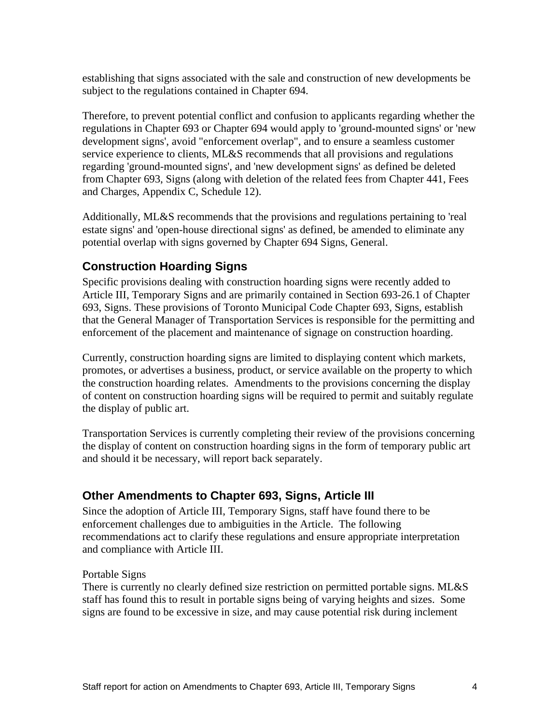establishing that signs associated with the sale and construction of new developments be subject to the regulations contained in Chapter 694.

Therefore, to prevent potential conflict and confusion to applicants regarding whether the regulations in Chapter 693 or Chapter 694 would apply to 'ground-mounted signs' or 'new development signs', avoid "enforcement overlap", and to ensure a seamless customer service experience to clients, ML&S recommends that all provisions and regulations regarding 'ground-mounted signs', and 'new development signs' as defined be deleted from Chapter 693, Signs (along with deletion of the related fees from Chapter 441, Fees and Charges, Appendix C, Schedule 12).

Additionally, ML&S recommends that the provisions and regulations pertaining to 'real estate signs' and 'open-house directional signs' as defined, be amended to eliminate any potential overlap with signs governed by Chapter 694 Signs, General.

# **Construction Hoarding Signs**

Specific provisions dealing with construction hoarding signs were recently added to Article III, Temporary Signs and are primarily contained in Section 693-26.1 of Chapter 693, Signs. These provisions of Toronto Municipal Code Chapter 693, Signs, establish that the General Manager of Transportation Services is responsible for the permitting and enforcement of the placement and maintenance of signage on construction hoarding.

Currently, construction hoarding signs are limited to displaying content which markets, promotes, or advertises a business, product, or service available on the property to which the construction hoarding relates. Amendments to the provisions concerning the display of content on construction hoarding signs will be required to permit and suitably regulate the display of public art.<br>Transportation Services is currently completing their review of the provisions concerning

the display of content on construction hoarding signs in the form of temporary public art and should it be necessary, will report back separately.

# **Other Amendments to Chapter 693, Signs, Article III**

Since the adoption of Article III, Temporary Signs, staff have found there to be enforcement challenges due to ambiguities in the Article. The following recommendations act to clarify these regulations and ensure appropriate interpretation and compliance with Article III.

# Portable Signs

There is currently no clearly defined size restriction on permitted portable signs. ML&S staff has found this to result in portable signs being of varying heights and sizes. Some signs are found to be excessive in size, and may cause potential risk during inclement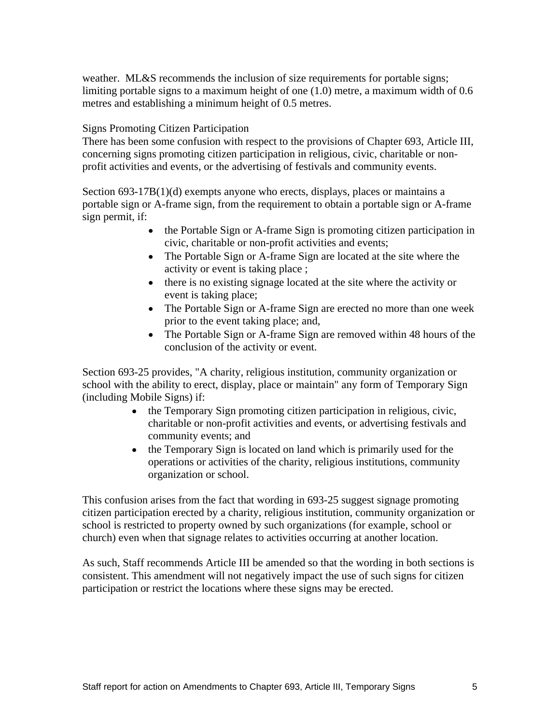weather. ML&S recommends the inclusion of size requirements for portable signs; limiting portable signs to a maximum height of one (1.0) metre, a maximum width of 0.6 metres and establishing a minimum height of 0.5 metres.<br>Signs Promoting Citizen Participation

There has been some confusion with respect to the provisions of Chapter 693, Article III, concerning signs promoting citizen participation in religious, civic, charitable or non profit activities and events, or the advertising of festivals and community events.

Section 693-17B(1)(d) exempts anyone who erects, displays, places or maintains a portable sign or A-frame sign, from the requirement to obtain a portable sign or A-frame sign permit, if:

- the Portable Sign or A-frame Sign is promoting citizen participation in civic, charitable or non-profit activities and events;
- The Portable Sign or A-frame Sign are located at the site where the activity or event is taking place ;
- there is no existing signage located at the site where the activity or event is taking place;
- The Portable Sign or A-frame Sign are erected no more than one week prior to the event taking place; and,
- The Portable Sign or A-frame Sign are removed within 48 hours of the conclusion of the activity or event.

Section 693-25 provides, "A charity, religious institution, community organization or school with the ability to erect, display, place or maintain" any form of Temporary Sign (including Mobile Signs) if:

- the Temporary Sign promoting citizen participation in religious, civic,  $\bullet$ charitable or non-profit activities and events, or advertising festivals and community events; and
- the Temporary Sign is located on land which is primarily used for the operations or activities of the charity, religious institutions, community organization or school.

This confusion arises from the fact that wording in 693-25 suggest signage promoting citizen participation erected by a charity, religious institution, community organization or school is restricted to property owned by such organizations (for example, school or church) even when that signage relates to activities occurring at another location.

As such, Staff recommends Article III be amended so that the wording in both sections is consistent. This amendment will not negatively impact the use of such signs for citizen participation or restrict the locations where these signs may be erected.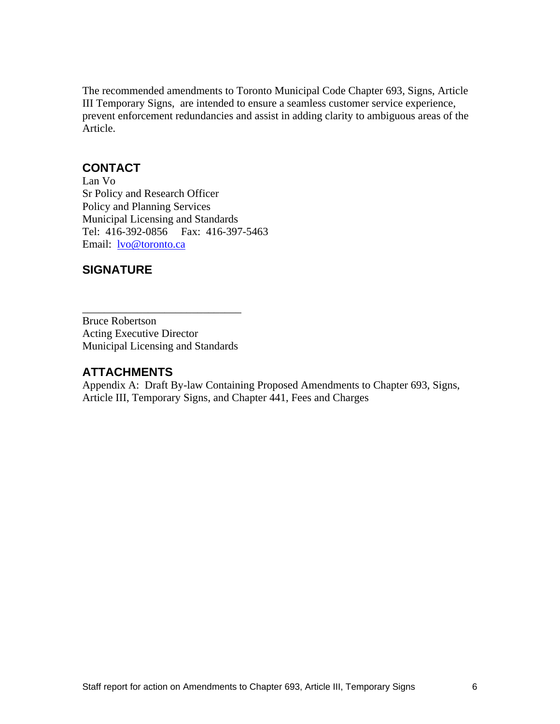The recommended amendments to Toronto Municipal Code Chapter 693, Signs, Article III Temporary Signs, are intended to ensure a seamless customer service experience, prevent enforcement redundancies and assist in adding clarity to ambiguous areas of the Article.

# **CONTACT**

Lan Vo Sr Policy and Research Officer Policy and Planning Services Municipal Licensing and Standards Tel: 416-392-0856 Fax: 416-397-5463 Email: <u>lvo@toronto.ca</u>

# **SIGNATURE**

Bruce Robertson **Bruce** Robertson Acting Executive Director Municipal Licensing and Standards

# **ATTACHMENTS**

Appendix A: Draft By-law Containing Proposed Amendments to Chapter 693, Signs, Article III, Temporary Signs, and Chapter 441, Fees and Charges

 $\overline{\phantom{a}}$  , we can assume that the contract of  $\overline{\phantom{a}}$  , we can assume that the contract of  $\overline{\phantom{a}}$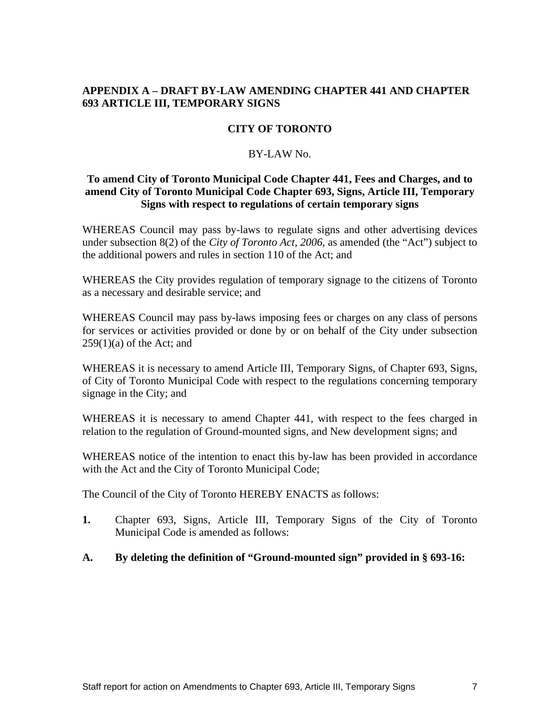# **APPENDIX A – DRAFT BY-LAW AMENDING CHAPTER 441 AND CHAPTER 693 ARTICLE III, TEMPORARY SIGNS**

# **CITY OF TORONTO**

#### BY-LAW No.

## **To amend City of Toronto Municipal Code Chapter 441, Fees and Charges, and to amend City of Toronto Municipal Code Chapter 693, Signs, Article III, Temporary Signs with respect to regulations of certain temporary signs**

WHEREAS Council may pass by-laws to regulate signs and other advertising devices under subsection 8(2) of the *City of Toronto Act*, *2006*, as amended (the "Act") subject to the additional powers and rules in section 110 of the Act; and

WHEREAS the City provides regulation of temporary signage to the citizens of Toronto as a necessary and desirable service; and

WHEREAS Council may pass by-laws imposing fees or charges on any class of persons for services or activities provided or done by or on behalf of the City under subsection  $259(1)(a)$  of the Act; and

WHEREAS it is necessary to amend Article III, Temporary Signs, of Chapter 693, Signs, of City of Toronto Municipal Code with respect to the regulations concerning temporary signage in the City; and signage in the City; and

WHEREAS it is necessary to amend Chapter 441, with respect to the fees charged in relation to the regulation of Ground-mounted signs, and New development signs; and

WHEREAS notice of the intention to enact this by-law has been provided in accordance with the Act and the City of Toronto Municipal Code;

The Council of the City of Toronto HEREBY ENACTS as follows:

- **1.** Chapter 693, Signs, Article III, Temporary Signs of the City of Toronto Municipal Code is amended as follows:
- **A. By deleting the definition of "Ground-mounted sign" provided in § 693-16:**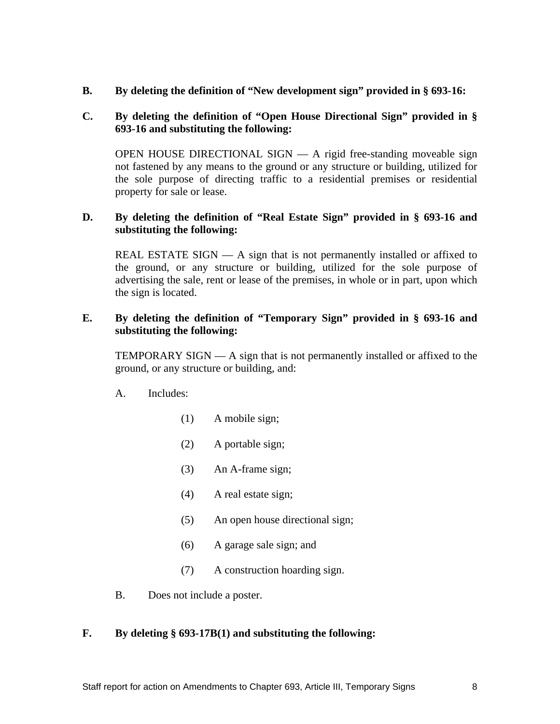**B. By deleting the definition of "New development sign" provided in § 693-16:**

# **C. By deleting the definition of "Open House Directional Sign" provided in § 693-16 and substituting the following:**

OPEN HOUSE DIRECTIONAL SIGN — A rigid free-standing moveable sign not fastened by any means to the ground or any structure or building, utilized for the sole purpose of directing traffic to a residential premises or residential property for sale or lease.

# **D. By deleting the definition of "Real Estate Sign" provided in § 693-16 and substituting the following:**

REAL ESTATE SIGN  $- A$  sign that is not permanently installed or affixed to the ground, or any structure or building, utilized for the sole purpose of advertising the sale, rent or lease of the premises, in whole or in part, upon which the sign is located.

## **E. By deleting the definition of "Temporary Sign" provided in § 693-16 and substituting the following:**

TEMPORARY SIGN — A sign that is not permanently installed or affixed to the ground, or any structure or building, and:

- A. Includes:
	- (1) A mobile sign;
	- (2) A portable sign;
	- (3) An A-frame sign;
	- (4) A real estate sign;
	- (5) An open house directional sign;
	- (6) A garage sale sign; and
	- (7) A construction hoarding sign.
- B. Does not include a poster.

# **F. By deleting § 693-17B(1) and substituting the following:**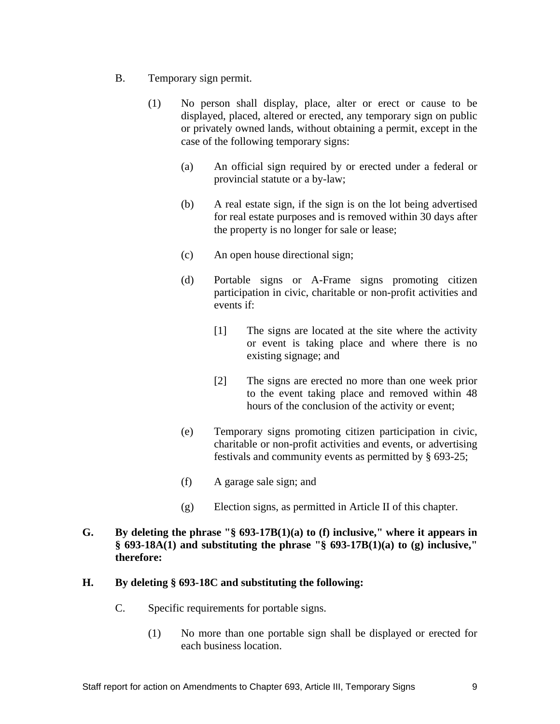- B. Temporary sign permit.
	- (1) No person shall display, place, alter or erect or cause to be displayed, placed, altered or erected, any temporary sign on public or privately owned lands, without obtaining a permit, except in the case of the following temporary signs:
		- (a) An official sign required by or erected under a federal or provincial statute or a by-law;
		- (b) A real estate sign, if the sign is on the lot being advertised for real estate purposes and is removed within 30 days after the property is no longer for sale or lease;
		- (c) An open house directional sign;
		- (d) Portable signs or A-Frame signs promoting citizen participation in civic, charitable or non-profit activities and events if:
			- [1] The signs are located at the site where the activity or event is taking place and where there is no existing signage; and
			- [2] The signs are erected no more than one week prior to the event taking place and removed within 48 hours of the conclusion of the activity or event;
		- (e) Temporary signs promoting citizen participation in civic, charitable or non-profit activities and events, or advertising festivals and community events as permitted by § 693-25;
		- (f) A garage sale sign; and
		- (g) Election signs, as permitted in Article II of this chapter.

# **G. By deleting the phrase "§ 693-17B(1)(a) to (f) inclusive," where it appears in § 693-18A(1) and substituting the phrase "§ 693-17B(1)(a) to (g) inclusive," therefore:**

### **H. By deleting § 693-18C and substituting the following:**

- C. Specific requirements for portable signs.
	- (1) No more than one portable sign shall be displayed or erected for each business location.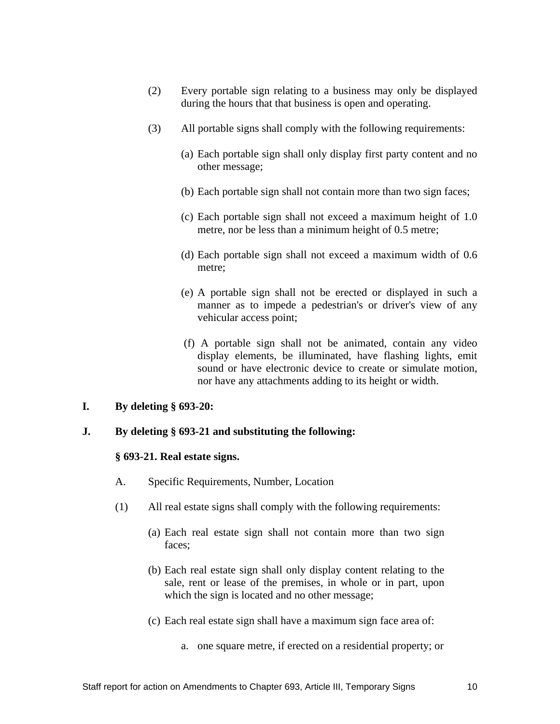- (2) Every portable sign relating to a business may only be displayed during the hours that that business is open and operating.
- (3) All portable signs shall comply with the following requirements:
	- (a) Each portable sign shall only display first party content and no other message;
	- (b) Each portable sign shall not contain more than two sign faces;
	- (c) Each portable sign shall not exceed a maximum height of 1.0 metre, nor be less than a minimum height of 0.5 metre;
	- (d) Each portable sign shall not exceed a maximum width of 0.6 metre;
	- (e) A portable sign shall not be erected or displayed in such a manner as to impede a pedestrian's or driver's view of any vehicular access point;
	- (f) A portable sign shall not be animated, contain any video display elements, be illuminated, have flashing lights, emit sound or have electronic device to create or simulate motion, nor have any attachments adding to its height or width.
- **I. By deleting § 693-20:**

### **J. By deleting § 693-21 and substituting the following:**

#### **§ 693-21. Real estate signs.**

- A. Specific Requirements, Number, Location
- (1) All real estate signs shall comply with the following requirements:
	- (a) Each real estate sign shall not contain more than two sign faces; the contract of the contract of the contract of the contract of the contract of the contract of the contract of the contract of the contract of the contract of the contract of the contract of the contract of the con
	- (b) Each real estate sign shall only display content relating to the sale, rent or lease of the premises, in whole or in part, upon which the sign is located and no other message;
	- (c) Each real estate sign shall have a maximum sign face area of:
		- a. one square metre, if erected on a residential property; or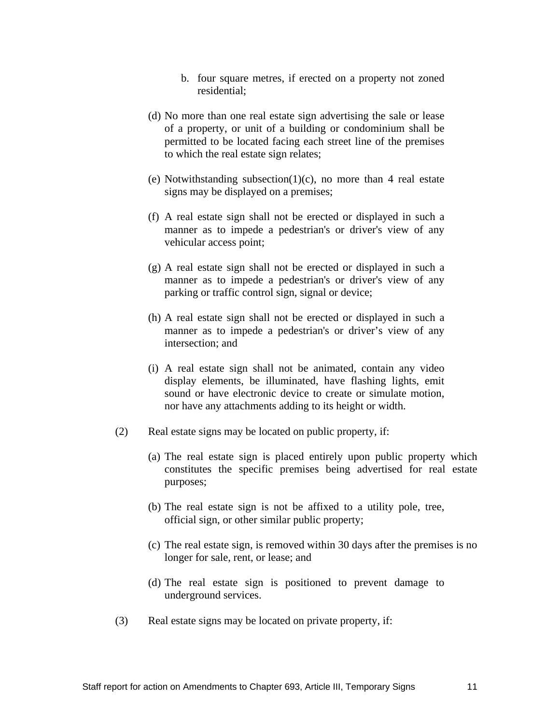- b. four square metres, if erected on a property not zoned residential;
- (d) No more than one real estate sign advertising the sale or lease of a property, or unit of a building or condominium shall be permitted to be located facing each street line of the premises to which the real estate sign relates;
- (e) Notwithstanding subsection(1)(c), no more than 4 real estate signs may be displayed on a premises;
- (f) A real estate sign shall not be erected or displayed in such a manner as to impede a pedestrian's or driver's view of any vehicular access point;
- (g) A real estate sign shall not be erected or displayed in such a manner as to impede a pedestrian's or driver's view of any parking or traffic control sign, signal or device;
- (h) A real estate sign shall not be erected or displayed in such a manner as to impede a pedestrian's or driver's view of any intersection; and
- (i) A real estate sign shall not be animated, contain any video display elements, be illuminated, have flashing lights, emit sound or have electronic device to create or simulate motion, nor have any attachments adding to its height or width.
- (2) Real estate signs may be located on public property, if:
	- (a) The real estate sign is placed entirely upon public property which constitutes the specific premises being advertised for real estate purposes; experience of the contract of the contract of the contract of the contract of the contract of the contract of the contract of the contract of the contract of the contract of the contract of the contract of the co
	- (b) The real estate sign is not be affixed to a utility pole, tree, official sign, or other similar public property;
	- (c) The real estate sign, is removed within 30 days after the premises is no longer for sale, rent, or lease; and
	- (d) The real estate sign is positioned to prevent damage to underground services.
- (3) Real estate signs may be located on private property, if: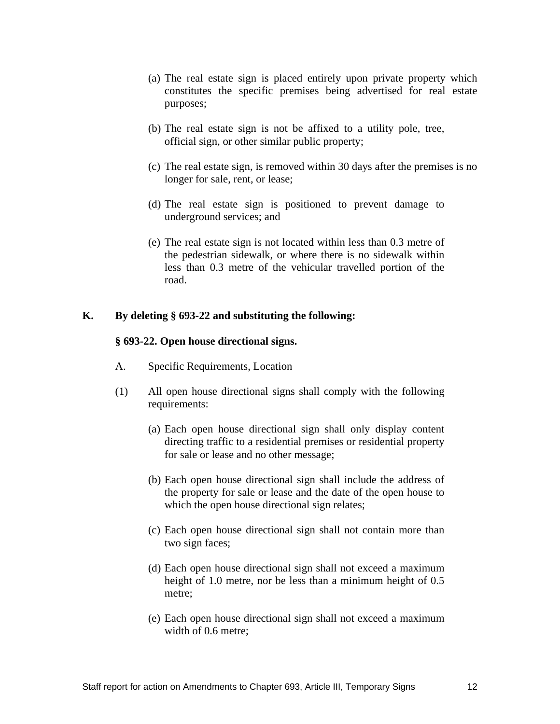- (a) The real estate sign is placed entirely upon private property which constitutes the specific premises being advertised for real estate purposes; experience of the contract of the contract of the contract of the contract of the contract of the contract of the contract of the contract of the contract of the contract of the contract of the contract of the co
- (b) The real estate sign is not be affixed to a utility pole, tree, official sign, or other similar public property;
- (c) The real estate sign, is removed within 30 days after the premises is no longer for sale, rent, or lease;
- (d) The real estate sign is positioned to prevent damage to underground services; and
- (e) The real estate sign is not located within less than 0.3 metre of the pedestrian sidewalk, or where there is no sidewalk within less than 0.3 metre of the vehicular travelled portion of the road.

#### **K. By deleting § 693-22 and substituting the following:**

#### **§ 693-22. Open house directional signs.**

- A. Specific Requirements, Location
- (1) All open house directional signs shall comply with the following requirements: equipments:
	- (a) Each open house directional sign shall only display content directing traffic to a residential premises or residential property for sale or lease and no other message;
	- (b) Each open house directional sign shall include the address of the property for sale or lease and the date of the open house to which the open house directional sign relates;
	- (c) Each open house directional sign shall not contain more than two sign faces;
	- (d) Each open house directional sign shall not exceed a maximum height of 1.0 metre, nor be less than a minimum height of  $0.5$ metre;
	- (e) Each open house directional sign shall not exceed a maximum width of 0.6 metre;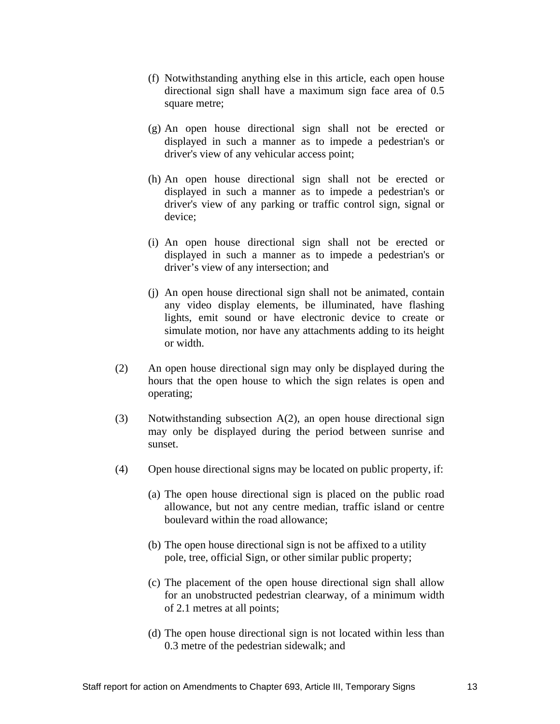- (f) Notwithstanding anything else in this article, each open house directional sign shall have a maximum sign face area of 0.5 square metre;
- (g) An open house directional sign shall not be erected or displayed in such a manner as to impede a pedestrian's or driver's view of any vehicular access point;
- (h) An open house directional sign shall not be erected or displayed in such a manner as to impede a pedestrian's or driver's view of any parking or traffic control sign, signal or device;
- (i) An open house directional sign shall not be erected or displayed in such a manner as to impede a pedestrian's or driver's view of any intersection; and
- (j) An open house directional sign shall not be animated, contain any video display elements, be illuminated, have flashing lights, emit sound or have electronic device to create or simulate motion, nor have any attachments adding to its height or width.
- (2) An open house directional sign may only be displayed during the hours that the open house to which the sign relates is open and operating; the contract of the contract of the contract of the contract of the contract of the contract of the contract of the contract of the contract of the contract of the contract of the contract of the contract of the
- (3) Notwithstanding subsection A(2), an open house directional sign may only be displayed during the period between sunrise and sunset.
- (4) Open house directional signs may be located on public property, if:
	- (a) The open house directional sign is placed on the public road allowance, but not any centre median, traffic island or centre boulevard within the road allowance;
	- (b) The open house directional sign is not be affixed to a utility pole, tree, official Sign, or other similar public property;
	- (c) The placement of the open house directional sign shall allow for an unobstructed pedestrian clearway, of a minimum width of 2.1 metres at all points;
	- (d) The open house directional sign is not located within less than 0.3 metre of the pedestrian sidewalk; and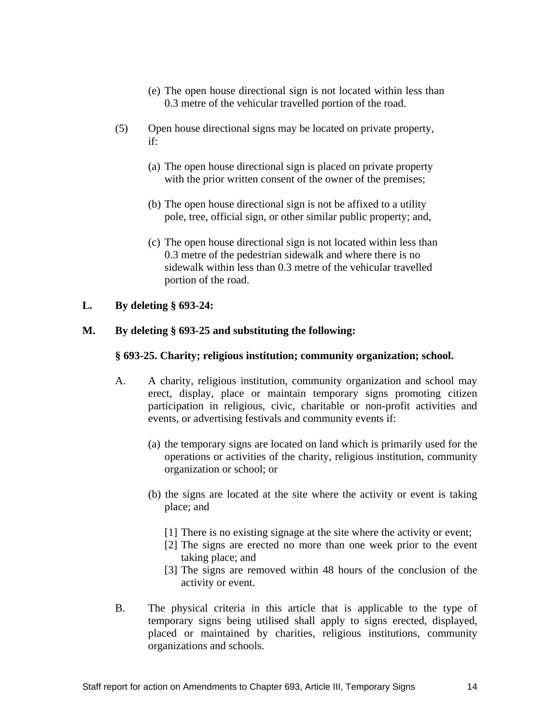- (e) The open house directional sign is not located within less than 0.3 metre of the vehicular travelled portion of the road.
- (5) Open house directional signs may be located on private property, if:
	- (a) The open house directional sign is placed on private property with the prior written consent of the owner of the premises;
	- (b) The open house directional sign is not be affixed to a utility pole, tree, official sign, or other similar public property; and,
	- (c) The open house directional sign is not located within less than 0.3 metre of the pedestrian sidewalk and where there is no sidewalk within less than 0.3 metre of the vehicular travelled portion of the road.

### **L. By deleting § 693-24:**

### **M. By deleting § 693-25 and substituting the following:**

### **§ 693-25. Charity; religious institution; community organization; school.**

- A. A charity, religious institution, community organization and school may erect, display, place or maintain temporary signs promoting citizen participation in religious, civic, charitable or non-profit activities and events, or advertising festivals and community events if:
	- (a) the temporary signs are located on land which is primarily used for the operations or activities of the charity, religious institution, community organization or school; or
	- (b) the signs are located at the site where the activity or event is taking place; and see all the set of the set of the set of the set of the set of the set of the set of the set of the set of the set of the set of the set of the set of the set of the set of the set of the set of the set of the s
		- [1] There is no existing signage at the site where the activity or event;
		- $[2]$  The signs are erected no more than one week prior to the event taking place; and
		- [3] The signs are removed within 48 hours of the conclusion of the activity or event.
- B. The physical criteria in this article that is applicable to the type of temporary signs being utilised shall apply to signs erected, displayed, placed or maintained by charities, religious institutions, community organizations and schools.